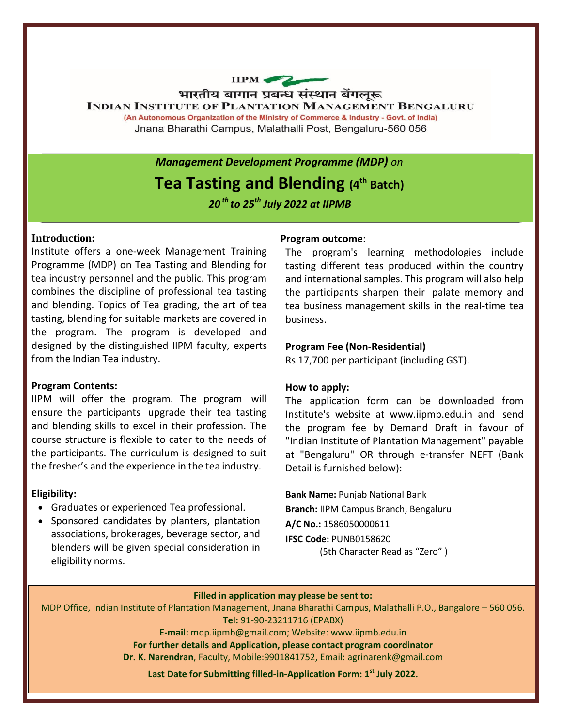

*Management Development Programme (MDP) on*

# **Tea Tasting and Blending (4 th Batch)**

*20* *th to 25 th July 2022 at IIPMB*

## **Introduction:**

Institute offers a one-week Management Training Programme (MDP) on Tea Tasting and Blending for tea industry personnel and the public. This program combines the discipline of professional tea tasting and blending. Topics of Tea grading, the art of tea tasting, blending for suitable markets are covered in the program. The program is developed and designed by the distinguished IIPM faculty, experts from the Indian Tea industry.

# **Program Contents:**

IIPM will offer the program. The program will ensure the participants upgrade their tea tasting and blending skills to excel in their profession. The course structure is flexible to cater to the needs of the participants. The curriculum is designed to suit the fresher's and the experience in the tea industry.

#### **Eligibility:**

- Graduates or experienced Tea professional.
- Sponsored candidates by planters, plantation associations, brokerages, beverage sector, and blenders will be given special consideration in eligibility norms.

#### **Program outcome**:

The program's learning methodologies include tasting different teas produced within the country and international samples. This program will also help the participants sharpen their palate memory and tea business management skills in the real-time tea business.

## **Program Fee (Non-Residential)**

Rs 17,700 per participant (including GST).

#### **How to apply:**

The application form can be downloaded from Institute's website at [www.iipmb.edu.in](http://www.iipmb.edu.in/) and send the program fee by Demand Draft in favour of "Indian Institute of Plantation Management" payable at "Bengaluru" OR through e-transfer NEFT (Bank Detail is furnished below):

**Bank Name:** Punjab National Bank

**Branch:** IIPM Campus Branch, Bengaluru **A/C No.:** 1586050000611 **IFSC Code:** PUNB0158620

(5th Character Read as "Zero" )

### **Filled in application may please be sent to:**

MDP Office, Indian Institute of Plantation Management, Jnana Bharathi Campus, Malathalli P.O., Bangalore – 560 056. **Tel:** 91-90-23211716 (EPABX)

**E-mail:** [mdp.iipmb@gmail.com;](mailto:mdp.iipmb@gmail.com) Website: [www.iipmb.edu.in](http://www.iipmb.edu.in/)

**For further details and Application, please contact program coordinator**

**Dr. K. Narendran**, Faculty, Mobile:9901841752, Email[: agrinarenk@gmail.com](mailto:agrinarenk@gmail.com)

**Last Date for Submitting filled-in-Application Form: 1st July 2022.**